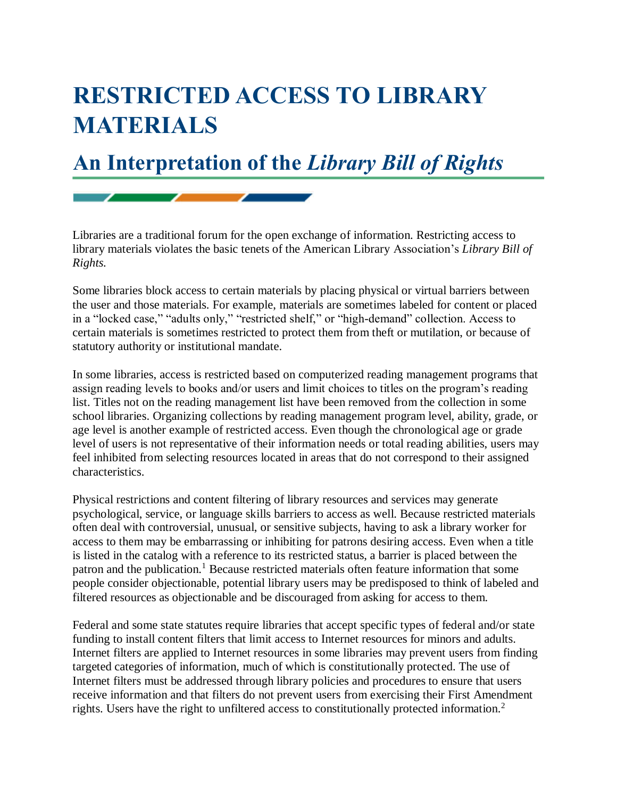## **RESTRICTED ACCESS TO LIBRARY MATERIALS**

## **An Interpretation of the** *Library Bill of Rights*

Libraries are a traditional forum for the open exchange of information. Restricting access to library materials violates the basic tenets of the American Library Association's *Library Bill of Rights.*

Some libraries block access to certain materials by placing physical or virtual barriers between the user and those materials. For example, materials are sometimes labeled for content or placed in a "locked case," "adults only," "restricted shelf," or "high-demand" collection. Access to certain materials is sometimes restricted to protect them from theft or mutilation, or because of statutory authority or institutional mandate.

In some libraries, access is restricted based on computerized reading management programs that assign reading levels to books and/or users and limit choices to titles on the program's reading list. Titles not on the reading management list have been removed from the collection in some school libraries. Organizing collections by reading management program level, ability, grade, or age level is another example of restricted access. Even though the chronological age or grade level of users is not representative of their information needs or total reading abilities, users may feel inhibited from selecting resources located in areas that do not correspond to their assigned characteristics.

Physical restrictions and content filtering of library resources and services may generate psychological, service, or language skills barriers to access as well. Because restricted materials often deal with controversial, unusual, or sensitive subjects, having to ask a library worker for access to them may be embarrassing or inhibiting for patrons desiring access. Even when a title is listed in the catalog with a reference to its restricted status, a barrier is placed between the patron and the publication.<sup>1</sup> Because restricted materials often feature information that some people consider objectionable, potential library users may be predisposed to think of labeled and filtered resources as objectionable and be discouraged from asking for access to them.

Federal and some state statutes require libraries that accept specific types of federal and/or state funding to install content filters that limit access to Internet resources for minors and adults. Internet filters are applied to Internet resources in some libraries may prevent users from finding targeted categories of information, much of which is constitutionally protected. The use of Internet filters must be addressed through library policies and procedures to ensure that users receive information and that filters do not prevent users from exercising their First Amendment rights. Users have the right to unfiltered access to constitutionally protected information.<sup>2</sup>